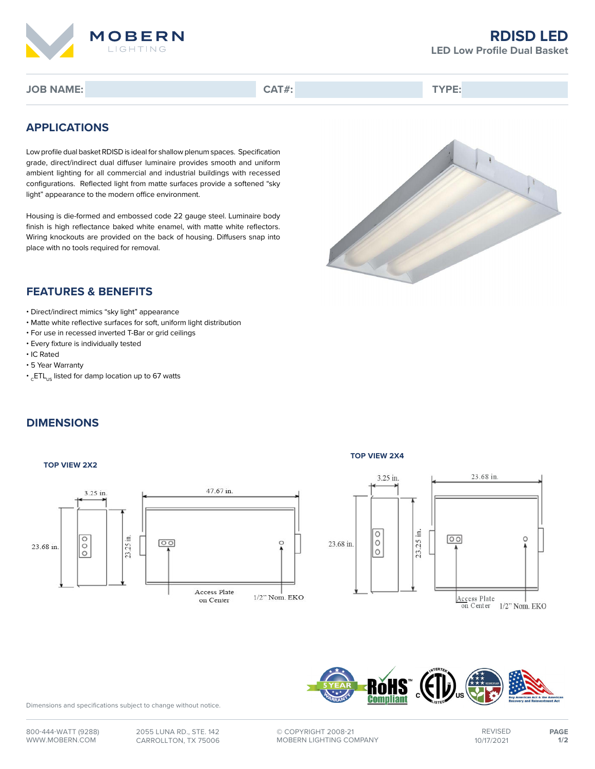

## **RDISD LED LED Low Profile Dual Basket**

**JOB NAME: CAT#: TYPE:**

# **APPLICATIONS**

Low profile dual basket RDISD is ideal for shallow plenum spaces. Specification grade, direct/indirect dual diffuser luminaire provides smooth and uniform ambient lighting for all commercial and industrial buildings with recessed configurations. Reflected light from matte surfaces provide a softened "sky light" appearance to the modern office environment.

Housing is die-formed and embossed code 22 gauge steel. Luminaire body finish is high reflectance baked white enamel, with matte white reflectors. Wiring knockouts are provided on the back of housing. Diffusers snap into place with no tools required for removal.



## **FEATURES & BENEFITS**

- Direct/indirect mimics "sky light" appearance
- Matte white reflective surfaces for soft, uniform light distribution
- For use in recessed inverted T-Bar or grid ceilings
- Every fixture is individually tested
- IC Rated
- 5 Year Warranty
- $\cdot$ <sub>c</sub>ETL<sub>us</sub> listed for damp location up to 67 watts

# **DIMENSIONS**

#### **TOP VIEW 2X2**



### **TOP VIEW 2X4**





Dimensions and specifications subject to change without notice.

**©** COPYRIGHT 2008-21 MOBERN LIGHTING COMPANY